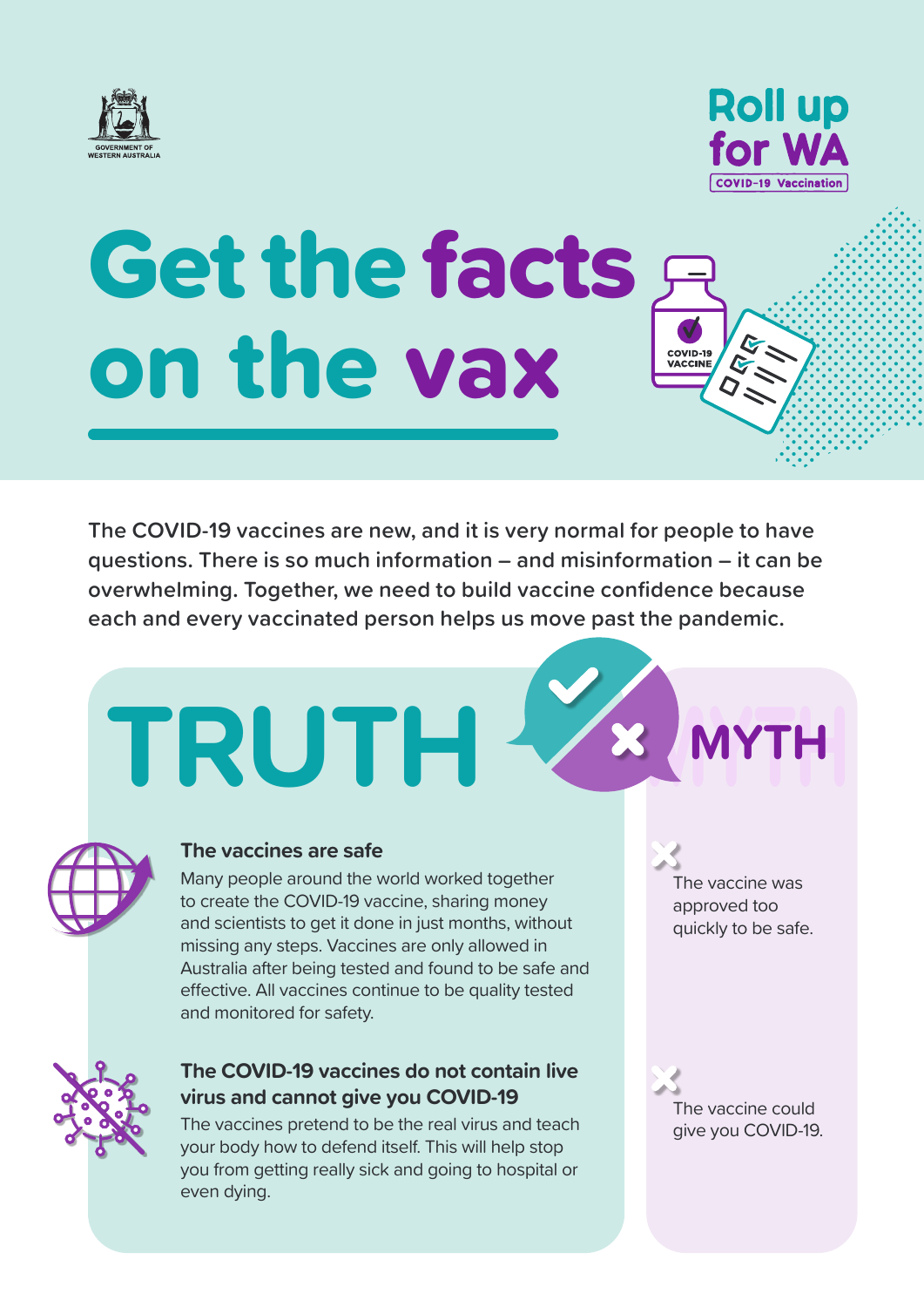



COVID-19<br>VACCINE

# Get the facts on the vax

**The COVID-19 vaccines are new, and it is very normal for people to have questions. There is so much information – and misinformation – it can be overwhelming. Together, we need to build vaccine confidence because each and every vaccinated person helps us move past the pandemic.**

# **TRUTH MYTH**



### **The vaccines are safe**

Many people around the world worked together to create the COVID-19 vaccine, sharing money and scientists to get it done in just months, without missing any steps. Vaccines are only allowed in Australia after being tested and found to be safe and effective. All vaccines continue to be quality tested and monitored for safety.

## **The COVID-19 vaccines do not contain live virus and cannot give you COVID-19**

The vaccines pretend to be the real virus and teach your body how to defend itself. This will help stop you from getting really sick and going to hospital or even dying.

The vaccine was approved too quickly to be safe.

**MYTH**

The vaccine could give you COVID-19.